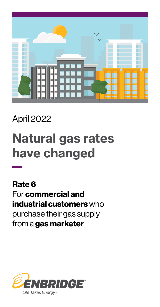

# April 2022

# Natural gas rates have changed

Rate 6 For commercial and industrial customers who purchase their gas supply from a gas marketer

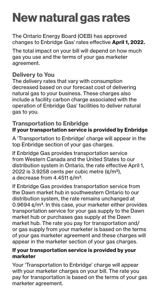# New natural gas rates

The Ontario Energy Board (OEB) has approved changes to Enbridge Gas' rates effective April 1, 2022.

The total impact on your bill will depend on how much gas you use and the terms of your gas marketer agreement.

# Delivery to You

The delivery rates that vary with consumption decreased based on our forecast cost of delivering natural gas to your business. These charges also include a facility carbon charge associated with the operation of Enbridge Gas' facilities to deliver natural gas to you.

#### Transportation to Enbridge If your transportation service is provided by Enbridge

A 'Transportation to Enbridge' charge will appear in the top Enbridge section of your gas charges.

If Enbridge Gas provides transportation service from Western Canada and the United States to our distribution system in Ontario, the rate effective April 1, 2022 is 3.9258 cents per cubic metre (¢/m<sup>3</sup>). a decrease from 4.4511 ¢/m³.

If Enbridge Gas provides transportation service from the Dawn market hub in southwestern Ontario to our distribution system, the rate remains unchanged at  $0.9694 \, \text{c/m}^3$ . In this case, your marketer either provides transportation service for your gas supply to the Dawn market hub or purchases gas supply at the Dawn market hub. The rate you pay for transportation and/ or gas supply from your marketer is based on the terms of your gas marketer agreement and these charges will appear in the marketer section of your gas charges.

#### If your transportation service is provided by your marketer

Your 'Transportation to Enbridge' charge will appear with your marketer charges on your bill. The rate you pay for transportation is based on the terms of your gas marketer agreement.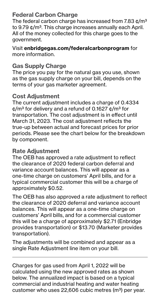# Federal Carbon Charge

The federal carbon charge has increased from 7.83  $\phi/m^3$ to 9.79 ¢/m<sup>3</sup>. This charge increases annually each April. All of the money collected for this charge goes to the government.

Visit [enbridgegas.com/federalcarbonprogram](http://enbridgegas.com/federalcarbonprogram) for more information.

### Gas Supply Charge

The price you pay for the natural gas you use, shown as the gas supply charge on your bill, depends on the terms of your gas marketer agreement.

### Cost Adjustment

The current adjustment includes a charge of 0.4334  $\phi/m^3$  for delivery and a refund of 0.1627  $\phi/m^3$  for transportation. The cost adjustment is in effect until March 31, 2023. The cost adjustment reflects the true-up between actual and forecast prices for prior periods. Please see the chart below for the breakdown by component.

# Rate Adjustment

The OEB has approved a rate adjustment to reflect the clearance of 2020 federal carbon deferral and variance account balances. This will appear as a one-time charge on customers' April bills, and for a typical commercial customer this will be a charge of approximately \$0.52.

The OEB has also approved a rate adjustment to reflect the clearance of 2020 deferral and variance account balances. This will appear as a one-time charge on customers' April bills, and for a commercial customer this will be a charge of approximately \$2.71 (Enbridge provides transportation) or \$13.70 (Marketer provides transportation).

The adjustments will be combined and appear as a single Rate Adjustment line item on your bill.

Charges for gas used from April 1, 2022 will be calculated using the new approved rates as shown below. The annualized impact is based on a typical commercial and industrial heating and water heating customer who uses 22,606 cubic metres ( $m^3$ ) per year.